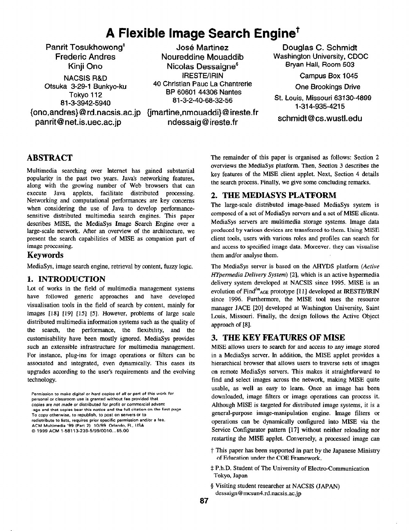# A Flexible Image Search Engine<sup>+</sup>

Panrit Tosukhowong\* Frederic Andres Kinji Ono {ono,andres}@ rd.nacsis.ac.jp (jmartine,nmouaddi}@ ireste.fr panrit@net.is.uec.ac.jp NACSIS R&D Otsuka 3-29-l Bunkyo-ku Tokyo 112

**José Martinez** Noureddine Mouaddib Nicolas Oessaigne§ 81-3-3942-5940 81-3-2-40-68-32-56 St. Louis, Missouri 63130-4899 IRESTE/IRIN 40 Christian Pauc La Chantrerie BP 60601 44306 Nantes

ndessaig@ireste.fr

Douglas C. Schmidt Washington University, CDOC Bryan Hall, Room 503

Campus Box 1045

One Brookings Drive

l-31 4-935-4215

Schmidt @cs.wustl.edu

# ABSTRACT

Multimedia searching over Internet has gained substantial popularity in the past two years. Java's networking features, along with the growing number of Web browsers that can execute Java applets, facilitate distributed processing. Networking and computational performances are key concerns when considering the use of Java to develop performancesensitive distributed multimedia search engines. This paper describes MISE, the MediaSys Image Search Engine over a large-scale network. After an overview of the architecture, we present the search capabilities of MISE as companion part of image processing.

### Keywords

MediaSys, image search engine, retrieval by content, fuzzy logic.

#### 1. INTRODUCTION

Lot of works in the field of multimedia management systems have followed generic approaches and have developed visualisation tools in the field of search by content, mainly for images [18] [19] [15] [5]. However, problems of large scale distributed multimedia information systems such as the quality of the search, the performance, the flexibility, and the customisability have been mostIy ignored. MediaSys provides such an extensible infrastructure for multimedia management. For instance, plug-ins for image operations or filters can be associated and integrated, even dynamically. This eases its upgrades according to the user's requirements and the evolving technology.

Permission to make digital or hard copies of all or part of this work for personal or classroom use is granted without fee provided that copies are not made or distributed for profit or commercial advant -age and that copies bear this notice and the full citation on the first page. To copy otherwise, to republish, to post on Servers Or to redistribute to lists, requires prior specific permission and/or a fee. ACM Multimedia '99 (Part 2) 10199 Orlando. FL, USA 0 1999 ACM 1.58113-239-5/99/0010...65.00

The remainder of this paper is organised as follows: Section 2 overviews the MediaSys platform. Then, Section 3 describes the key features of the MISE client applet. Next, Section 4 details the search process. Finally, we give some concluding remarks.

# 2. THE MEDIASYS PLATFORM

The large-scale distributed image-based MediaSys system is composed of a set of MediaSys servers and a set of MISE clients. MediaSys servers are multimedia storage systems. Image data produced by various devices are transferred to them. Using MISE client tools, users with various roles and profiles can search for and access to specified image data. Moreever. they can visualise them and/or analyse them.

The MediaSys server is based on the AHYDS platform (Active Hypermedia Delivery System) [2], which is an active hypermedia delivery system developed at NACSIS since 1995. MISE is an evolution of Find $^{lm}$ AGE prototype [11] developed at IRESTE/IRIN since 1996. Furthermore, the MISE tool uses the resource manager JACE [20] developed at Washington University, Saint Louis, Missouri. Finally, the design follows the Active Object approach of [S].

# 3. THE KEY FEATURES OF MISE

MISE allows users to search for and access to any image stored in a MediaSys server. In addition, the MISE applet provides a hierarchical browser that allows users to traverse sets of images on remote MediaSys servers. This makes it straightforward to find and select images across the network, making MISE quite usable, as well as easy to learn. Once an image has been downloaded, image filters or image operations can process it. Although MISE is targeted for distributed image systems, it is a general-purpose image-manipulation engine. Image filters or operations can be dynamically configured into MISE via the Service Configurator pattern [17] without neither reloading nor restarting the MISE applet. Conversely, a processed image can

- t This paper has been supported in part by the Japanese Ministry of Education under the COE Framework.
- $\ddagger$  P.h.D. Student of The University of Electro-Communication Tokyo, Japan
- § Visiting student researcher at NACSIS (JAPAN) dessaign@mcsun4.rd.nacsis.ac.jp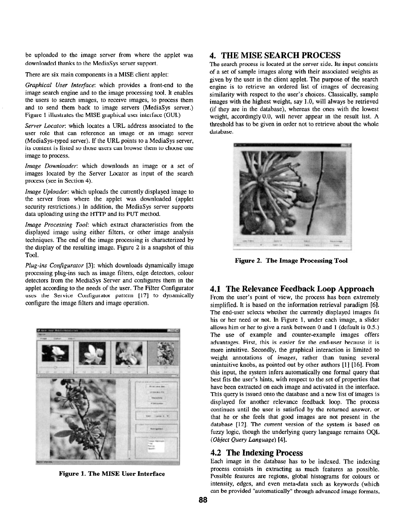be uploaded to the image server from where the applet was downloaded thanks to the MediaSys server support.

There are six main components in a MISE client applet:

Graphical User Interface: which provides a front-end to the image search engine and to the image processing tool. It enables the users to search images, to receive images, to process them and to send them back to image servers (MediaSys server.) Figure 1 illustrates the MISE graphical user interface (GUI.)

Server Locator: which locates a URL address associated to the user role that can reference an image or an image server (MediaSys-typed server). If the URL points to a MediaSys server, its content is listed so those users can browse them to choose one image to process.

Image Downloader: which downloads an image or a set of images located by the Server Locator as input of the search process (see in Section 4).

Image Uploader: which uploads the currently displayed image to the server from where the applet was downloaded (applet security restrictions.) In addition, the MediaSys server supports data uploading using the HTTP and its PUT method.

Image Processing Tool: which extract characteristics from the displayed image using either filters, or other image analysis techniques. The end of the image processing is characterized by the display of the resulting image. Figure 2 is a snapshot of this Tool.

Plug-ins Configurator [3]: which downloads dynamically image processing plug-ins such as image filters, edge detectors, colour detectors from the MediaSys Server and configures them in the applet according to the needs of the user. The Filter Configurator uses the Service Configurator pattern [17] to dynamically configure the image filters and image operation.



Figure 1. The MISE User Interface

## 4. THE MISE SEARCH PROCESS

The search process is located at the server side. Its input consists of a set of sample images along with their associated weights as given by the user in the client applet. The purpose of the search engine is to retrieve an ordered list of images of decreasing similarity with respect to the user's choices. Classically, sample images with the highest weight, say 1 .O, will always be retrieved (if they are in the database), whereas the ones with the lowest weight, accordingly 0.0, will never appear in the result list. A threshold has to be given in order not to retrieve about the whole database.



Figure 2. The Image Processing Tool

#### 4.1 The Relevance Feedback Loop Approach

From the user's point of view, the process has been extremely simplified. It is based on the information retrieval paradigm [6]. The end-user selects whether the currently displayed images fit his or her need or not. In Figure 1, under each image, a slider allows him or her to give a rank between 0 and 1 (default is 0.5.) The use of example and counter-example images offers advantages. First, this is easier for the end-user because it is more intuitive. Secondly, the graphical interaction is limited to weight annotations of images, rather than tuning several unintuitive knobs, as pointed out by other authors [l] [16]. From this input, the system infers automatically one formal query that best fits the user's hints, with respect to the set of properties that have been extracted on each image and activated in the interface. This query is issued onto the database and a new list of images is displayed for another relevance feedback loop. The process continues until the user is satisfied by the returned answer, or that he or she feels that good images are not present in the database [12]. The current version of the system is based on fuzzy logic, though the underlying query language remains OQL (Object Query Language) [4].

#### 4.2 The Indexing Process

Each image in the database has to be indexed. The indexing process consists in extracting as much features as possible. Possible features are regions, global histograms for colours or intensity, edges, and even meta-data such as keywords (which can be provided "automatically" through advanced image formats,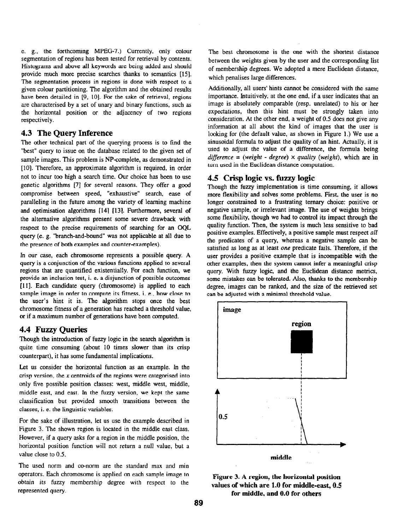e. g., the forthcoming MPEG-7.) Currently, only colour segmentation of regions has been tested for retrieval by contents. Histograms and above all keywords are being added and should provide much more precise searches thanks to semantics [15]. The segmentation process in regions is done with respect to a given colour partitioning. The algorithm and the obtained results have been detailed in [9, 10]. For the sake of retrieval, regions are characterised by a set of unary and binary functions, such as the horizontal position or the adjacency of two regions respectively.

## 4.3 The Query Inference

The other technical part of the querying process is to find the "best" query to issue on the database related to the given set of sample images. This problem is NP-complete, as demonstrated in [10]. Therefore, an approximate algorithm is required, in order not to incur too high a search time. Our choice has been to use genetic algorithms [7] for several reasons. They offer a good compromise between speed, "exhaustive" search, ease of paralleling in the future among the variety of learning machine and optimisation algorithms [14] [13]. Furthermore, several of the alternative algorithms present some severe drawback with respect to the precise requirements of searching for an OQL query (e. g. "branch-and-bound" was not applicable at all due to the presence of both examples and counter-examples).

In our case, each chromosome represents a possible query. A query is a conjunction of the various functions applied to several regions that are quantified existentially. For each function, we provide an inclusion test, i. e. a disjunction of possible outcomes [ll]. Each candidate query (chromosome) is applied to each sample image in order to compute its fitness, i. e., how close to the user's hint it is. The algorithm stops once the best chromosome fitness of a generation has reached a threshold value, or if a maximum number of generations have been computed.

#### 4.4 Fuzzy Queries

Though the introduction of fuzzy logic in the search algorithm is quite time consuming (about 10 times slower than its crisp counterpart), it has some fundamental implications.

Let us consider the horizontal function as an example. In the crisp version, the  $x$  centroids of the regions were categorised into only five possible position classes: west, middle west, middle, middle east, and east. In the fuzzy version, we kept the same classification but provided smooth transitions between the classes, i. e. the linguistic variables.

For the sake of illustration, let us use the example described in Figure 3. The shown region is located in the middle east class. However, if a query asks for a region in the middle position, the horizontal position function witI not return a null value, but a value close to 0.5.

The used norm and co-norm are the standard max and min operators. Each chromosome is applied on each sample image to obtain its fuzzy membership degree with respect to the represented query.

The best chromosome is the one with the shortest distance between the weights given by the user and the corresponding list of membership degrees. We adopted a mere Euclidean distance, which penalises large differences.

Additionally, all users' hints cannot be considered with the same importance. Intuitively, at the one end, if a user indicates that an image is absolutely comparable (resp. unrelated) to his or her expectations, then this hint must be strongly taken into consideration. At the other end, a weight of 0.5 does not give any information at all about the kind of images that the user is looking for (the default value, as shown in Figure 1.) We use a sinusoidal formula to adjust the quality of an hint. Actually, it is used to adjust the value of a difference, the formula being difference = (weight - degree)  $\times$  quality (weight), which are in turn used in the Euclidean distance computation.

# 4.5 Crisp logic vs. fuzzy logic

Though the fuzzy implementation is time consuming, it allows more flexibility and solves some problems. First, the user is no longer constrained to a frustrating ternary choice: positive or negative sample, or irrelevant image. The use of weights brings some flexibility, though we had to control its impact through the quality function. Then, the system is much less sensitive to bad positive examples. Effectively, a positive sample must respect all the predicates of a query, whereas a negative sample can be satisfied as long as at least one predicate fails. Therefore, if the user provides a positive example that is incompatible with the other examples, then the system cannot infer a meaningful crisp query. With fuzzy logic, and the Euclidean distance metrics, some mistakes can be tolerated. Also, thanks to the membership degree, images can be ranked, and the size of the retrieved set can be adjusted with a minimal threshold value.